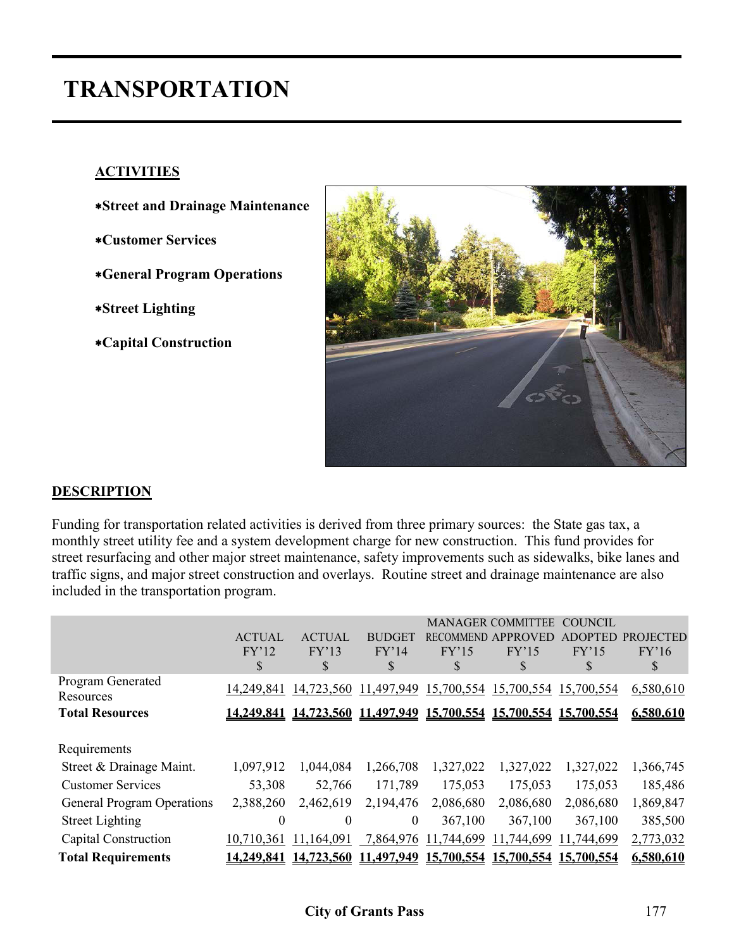# **TRANSPORTATION**

## **ACTIVITIES**

- ∗**Street and Drainage Maintenance**
- ∗**Customer Services**
- ∗**General Program Operations**
- ∗**Street Lighting**
- ∗**Capital Construction**



## **DESCRIPTION**

Funding for transportation related activities is derived from three primary sources: the State gas tax, a monthly street utility fee and a system development charge for new construction. This fund provides for street resurfacing and other major street maintenance, safety improvements such as sidewalks, bike lanes and traffic signs, and major street construction and overlays. Routine street and drainage maintenance are also included in the transportation program.

|                                       | <b>ACTUAL</b><br>FY'12<br>\$ | <b>ACTUAL</b><br>FY'13<br>S | <b>BUDGET</b><br>FY'14<br>S | <b>RECOMMEND</b><br>FY'15<br>S | <b>MANAGER COMMITTEE</b><br><b>APPROVED</b><br>FY'15<br>S | <b>COUNCIL</b><br><b>ADOPTED</b><br>FY'15<br>S | <b>PROJECTED</b><br>FY'16<br>S |
|---------------------------------------|------------------------------|-----------------------------|-----------------------------|--------------------------------|-----------------------------------------------------------|------------------------------------------------|--------------------------------|
| <b>Program Generated</b><br>Resources | 14,249,841                   | 14,723,560                  | 11,497,949                  | 15,700,554                     | 15,700,554                                                | 15,700,554                                     | 6,580,610                      |
| <b>Total Resources</b>                | 14,249,841                   |                             |                             |                                | 14,723,560 11,497,949 15,700,554 15,700,554 15,700,554    |                                                | 6,580,610                      |
|                                       |                              |                             |                             |                                |                                                           |                                                |                                |
| Requirements                          |                              |                             |                             |                                |                                                           |                                                |                                |
| Street & Drainage Maint.              | 1,097,912                    | 1,044,084                   | 1,266,708                   | 1,327,022                      | 1,327,022                                                 | 1,327,022                                      | 1,366,745                      |
| <b>Customer Services</b>              | 53,308                       | 52,766                      | 171,789                     | 175,053                        | 175,053                                                   | 175,053                                        | 185,486                        |
| <b>General Program Operations</b>     | 2,388,260                    | 2,462,619                   | 2,194,476                   | 2,086,680                      | 2,086,680                                                 | 2,086,680                                      | 1,869,847                      |
| <b>Street Lighting</b>                | $\theta$                     | $\theta$                    | $\mathbf{0}$                | 367,100                        | 367,100                                                   | 367,100                                        | 385,500                        |
| Capital Construction                  | 10,710,361                   | 11,164,091                  | 7,864,976                   | 11,744,699                     | 11,744,699                                                | 11,744,699                                     | 2,773,032                      |
| <b>Total Requirements</b>             | 14,249,841                   | 14,723,560                  | 11,497,949                  | 15,700,554                     | 15,700,554                                                | 15,700,554                                     | 6,580,610                      |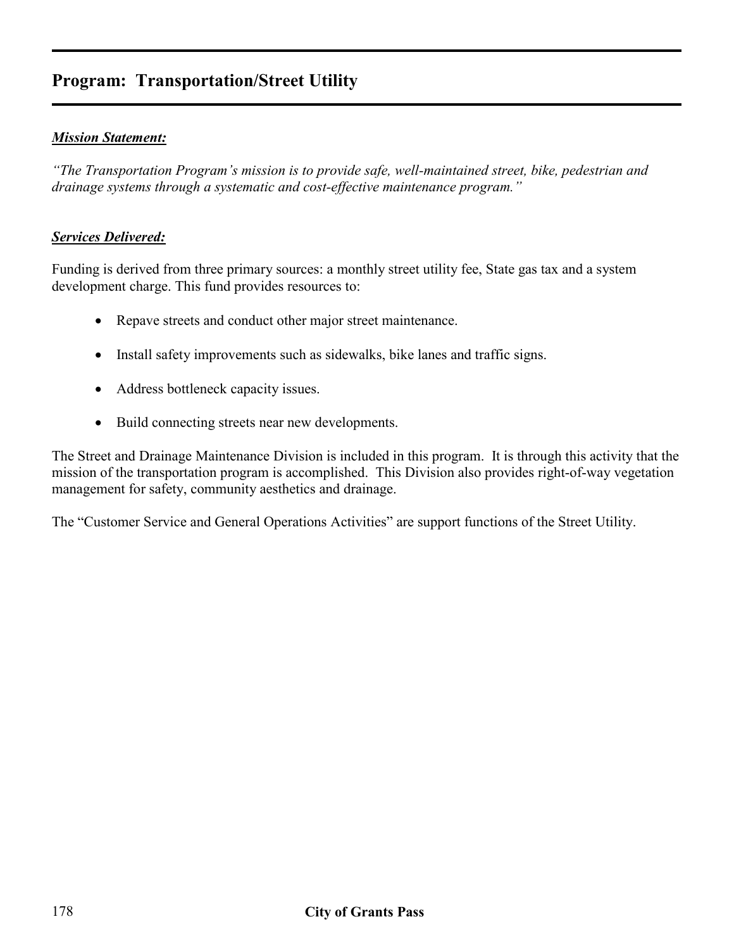# **Program: Transportation/Street Utility**

### *Mission Statement:*

*"The Transportation Program's mission is to provide safe, well-maintained street, bike, pedestrian and drainage systems through a systematic and cost-effective maintenance program."* 

### *Services Delivered:*

Funding is derived from three primary sources: a monthly street utility fee, State gas tax and a system development charge. This fund provides resources to:

- Repave streets and conduct other major street maintenance.
- Install safety improvements such as sidewalks, bike lanes and traffic signs.
- Address bottleneck capacity issues.
- Build connecting streets near new developments.

The Street and Drainage Maintenance Division is included in this program. It is through this activity that the mission of the transportation program is accomplished. This Division also provides right-of-way vegetation management for safety, community aesthetics and drainage.

The "Customer Service and General Operations Activities" are support functions of the Street Utility.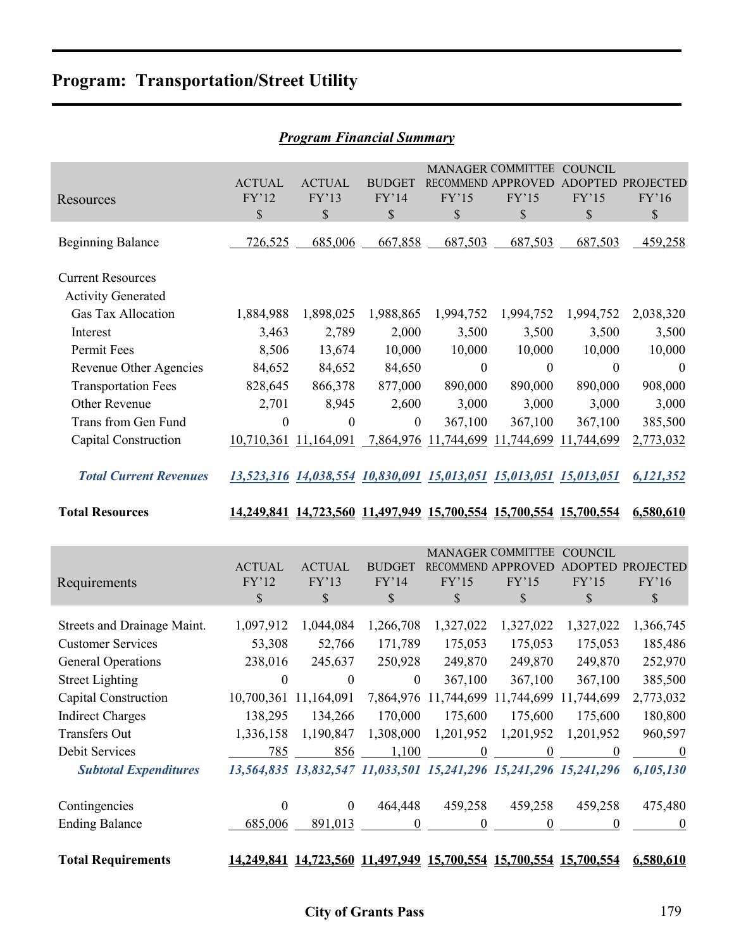# **Program: Transportation/Street Utility**

| Program Financial Summary                             |                                       |                              |                                |                  |                                                                                     |                               |                                       |  |  |  |
|-------------------------------------------------------|---------------------------------------|------------------------------|--------------------------------|------------------|-------------------------------------------------------------------------------------|-------------------------------|---------------------------------------|--|--|--|
| Resources                                             | <b>ACTUAL</b><br>FY'12<br>\$          | <b>ACTUAL</b><br>FY'13<br>\$ | <b>BUDGET</b><br>FY'14<br>\$   | FY'15<br>\$      | <b>MANAGER COMMITTEE</b><br>RECOMMEND APPROVED ADOPTED PROJECTED<br>FY'15<br>\$     | <b>COUNCIL</b><br>FY'15<br>\$ | FY'16<br>$\mathcal{S}$                |  |  |  |
| <b>Beginning Balance</b>                              | 726,525                               | 685,006                      | 667,858                        | 687,503          | 687,503                                                                             | 687,503                       | 459,258                               |  |  |  |
| <b>Current Resources</b><br><b>Activity Generated</b> |                                       |                              |                                |                  |                                                                                     |                               |                                       |  |  |  |
| Gas Tax Allocation                                    | 1,884,988                             | 1,898,025                    | 1,988,865                      | 1,994,752        | 1,994,752                                                                           | 1,994,752                     | 2,038,320                             |  |  |  |
| Interest                                              | 3,463                                 | 2,789                        | 2,000                          | 3,500            | 3,500                                                                               | 3,500                         | 3,500                                 |  |  |  |
| Permit Fees                                           | 8,506                                 | 13,674                       | 10,000                         | 10,000           | 10,000                                                                              | 10,000                        | 10,000                                |  |  |  |
| Revenue Other Agencies                                | 84,652                                | 84,652                       | 84,650                         | $\boldsymbol{0}$ | $\boldsymbol{0}$                                                                    | $\boldsymbol{0}$              | $\boldsymbol{0}$                      |  |  |  |
| <b>Transportation Fees</b>                            | 828,645                               | 866,378                      | 877,000                        | 890,000          | 890,000                                                                             | 890,000                       | 908,000                               |  |  |  |
| Other Revenue                                         | 2,701                                 | 8,945                        | 2,600                          | 3,000            | 3,000                                                                               | 3,000                         | 3,000                                 |  |  |  |
| Trans from Gen Fund                                   | $\boldsymbol{0}$                      | $\boldsymbol{0}$             | $\boldsymbol{0}$               | 367,100          | 367,100                                                                             | 367,100                       | 385,500                               |  |  |  |
| Capital Construction                                  |                                       | 10,710,361 11,164,091        |                                |                  | 7,864,976 11,744,699 11,744,699 11,744,699                                          |                               | 2,773,032                             |  |  |  |
| <b>Total Current Revenues</b>                         |                                       |                              |                                |                  | 13,523,316 14,038,554 10,830,091 15,013,051 15,013,051 15,013,051                   |                               | 6,121,352                             |  |  |  |
|                                                       |                                       |                              |                                |                  |                                                                                     |                               |                                       |  |  |  |
| <b>Total Resources</b>                                |                                       |                              |                                |                  | 14,249,841 14,723,560 11,497,949 15,700,554 15,700,554 15,700,554                   |                               | 6,580,610                             |  |  |  |
| Requirements                                          | <b>ACTUAL</b><br>FY'12<br>$\mathbb S$ | <b>ACTUAL</b><br>FY'13<br>\$ | <b>BUDGET</b><br>FY'14<br>$\$$ | FY'15<br>\$      | <b>MANAGER COMMITTEE</b><br>RECOMMEND APPROVED<br>FY'15<br>$\mathbb S$              | <b>COUNCIL</b><br>FY'15<br>\$ | ADOPTED PROJECTED<br>FY'16<br>$\$$    |  |  |  |
|                                                       |                                       |                              |                                |                  |                                                                                     |                               |                                       |  |  |  |
| Streets and Drainage Maint.                           | 1,097,912                             | 1,044,084                    | 1,266,708                      | 1,327,022        | 1,327,022                                                                           | 1,327,022                     | 1,366,745                             |  |  |  |
| <b>Customer Services</b>                              | 53,308                                | 52,766                       | 171,789                        | 175,053          | 175,053                                                                             | 175,053                       | 185,486                               |  |  |  |
| <b>General Operations</b>                             | 238,016                               | 245,637                      | 250,928                        | 249,870          | 249,870                                                                             | 249,870                       | 252,970                               |  |  |  |
| <b>Street Lighting</b>                                | $\boldsymbol{0}$                      | $\boldsymbol{0}$             | $\boldsymbol{0}$               | 367,100          | 367,100                                                                             | 367,100                       | 385,500                               |  |  |  |
| Capital Construction                                  |                                       | 10,700,361 11,164,091        |                                |                  | 7,864,976 11,744,699 11,744,699 11,744,699                                          |                               | 2,773,032                             |  |  |  |
| <b>Indirect Charges</b>                               | 138,295                               | 134,266                      | 170,000                        | 175,600          | 175,600                                                                             | 175,600                       | 180,800                               |  |  |  |
| <b>Transfers Out</b>                                  | 1,336,158                             | 1,190,847                    | 1,308,000                      | 1,201,952        | 1,201,952                                                                           | 1,201,952                     | 960,597                               |  |  |  |
| Debit Services<br><b>Subtotal Expenditures</b>        | 785                                   | 856                          | 1,100                          | $\overline{0}$   | $\overline{0}$<br>13,564,835 13,832,547 11,033,501 15,241,296 15,241,296 15,241,296 | $\qquad 0$                    | $\overline{\phantom{0}}$<br>6,105,130 |  |  |  |
|                                                       |                                       |                              |                                |                  |                                                                                     |                               |                                       |  |  |  |
| Contingencies                                         | $\boldsymbol{0}$                      | $\boldsymbol{0}$             | 464,448                        | 459,258          | 459,258                                                                             | 459,258                       | 475,480                               |  |  |  |
| <b>Ending Balance</b>                                 | 685,006                               | 891,013                      | $\boldsymbol{0}$               | $\boldsymbol{0}$ | $\boldsymbol{0}$                                                                    | $\boldsymbol{0}$              | $\boldsymbol{0}$                      |  |  |  |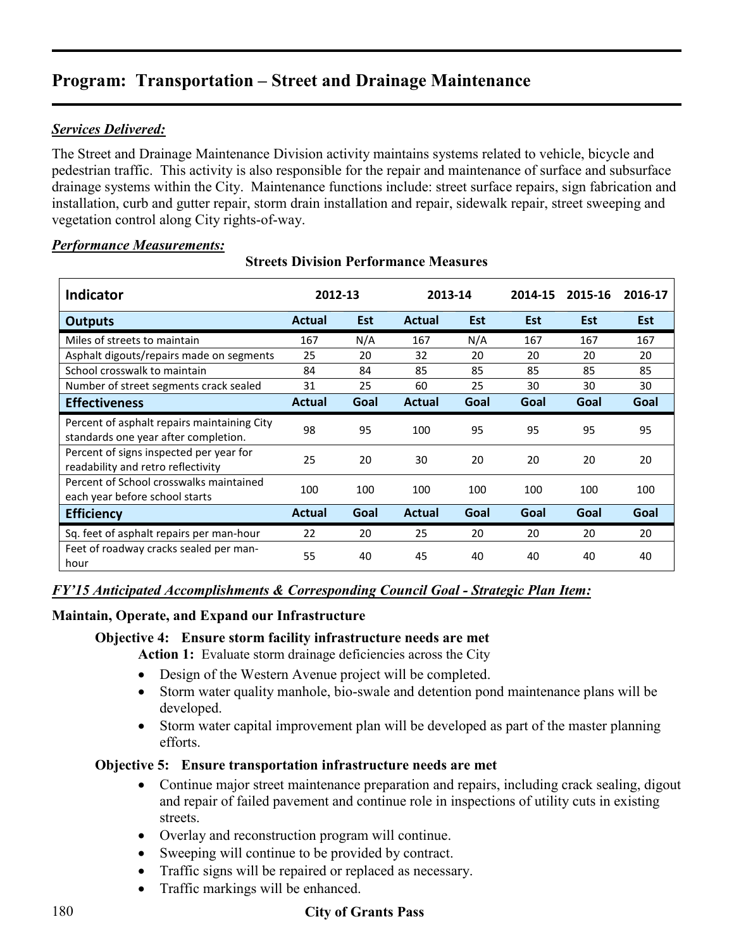## *Services Delivered:*

The Street and Drainage Maintenance Division activity maintains systems related to vehicle, bicycle and pedestrian traffic. This activity is also responsible for the repair and maintenance of surface and subsurface drainage systems within the City. Maintenance functions include: street surface repairs, sign fabrication and installation, curb and gutter repair, storm drain installation and repair, sidewalk repair, street sweeping and vegetation control along City rights-of-way.

### *Performance Measurements:*

| <b>Indicator</b>                                                                    | 2012-13 |            | 2013-14       |            | 2014-15    | 2015-16    | 2016-17    |
|-------------------------------------------------------------------------------------|---------|------------|---------------|------------|------------|------------|------------|
| <b>Outputs</b>                                                                      | Actual  | <b>Est</b> | <b>Actual</b> | <b>Est</b> | <b>Est</b> | <b>Est</b> | <b>Est</b> |
| Miles of streets to maintain                                                        | 167     | N/A        | 167           | N/A        | 167        | 167        | 167        |
| Asphalt digouts/repairs made on segments                                            | 25      | 20         | 32            | 20         | 20         | 20         | 20         |
| School crosswalk to maintain                                                        | 84      | 84         | 85            | 85         | 85         | 85         | 85         |
| Number of street segments crack sealed                                              | 31      | 25         | 60            | 25         | 30         | 30         | 30         |
| <b>Effectiveness</b>                                                                | Actual  | Goal       | <b>Actual</b> | Goal       | Goal       | Goal       | Goal       |
| Percent of asphalt repairs maintaining City<br>standards one year after completion. | 98      | 95         | 100           | 95         | 95         | 95         | 95         |
| Percent of signs inspected per year for<br>readability and retro reflectivity       | 25      | 20         | 30            | 20         | 20         | 20         | 20         |
| Percent of School crosswalks maintained<br>each year before school starts           | 100     | 100        | 100           | 100        | 100        | 100        | 100        |
| <b>Efficiency</b>                                                                   | Actual  | Goal       | <b>Actual</b> | Goal       | Goal       | Goal       | Goal       |
| Sq. feet of asphalt repairs per man-hour                                            | 22      | 20         | 25            | 20         | 20         | 20         | 20         |
| Feet of roadway cracks sealed per man-<br>hour                                      | 55      | 40         | 45            | 40         | 40         | 40         | 40         |

### **Streets Division Performance Measures**

## *FY'15 Anticipated Accomplishments & Corresponding Council Goal - Strategic Plan Item:*

### **Maintain, Operate, and Expand our Infrastructure**

### **Objective 4: Ensure storm facility infrastructure needs are met**

Action 1: Evaluate storm drainage deficiencies across the City

- Design of the Western Avenue project will be completed.
- Storm water quality manhole, bio-swale and detention pond maintenance plans will be developed.
- Storm water capital improvement plan will be developed as part of the master planning efforts.

### **Objective 5: Ensure transportation infrastructure needs are met**

- Continue major street maintenance preparation and repairs, including crack sealing, digout and repair of failed pavement and continue role in inspections of utility cuts in existing streets.
- Overlay and reconstruction program will continue.
- Sweeping will continue to be provided by contract.
- Traffic signs will be repaired or replaced as necessary.
- Traffic markings will be enhanced.

## 180 **City of Grants Pass**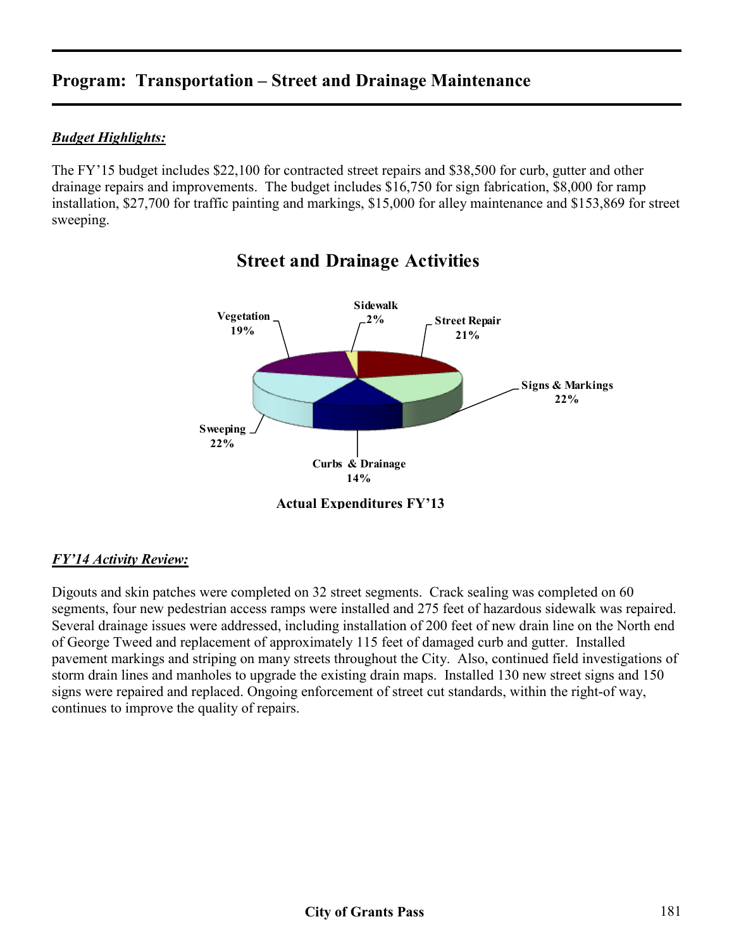## *Budget Highlights:*

The FY'15 budget includes \$22,100 for contracted street repairs and \$38,500 for curb, gutter and other drainage repairs and improvements. The budget includes \$16,750 for sign fabrication, \$8,000 for ramp installation, \$27,700 for traffic painting and markings, \$15,000 for alley maintenance and \$153,869 for street sweeping.



# **Street and Drainage Activities**

## *FY'14 Activity Review:*

Digouts and skin patches were completed on 32 street segments. Crack sealing was completed on 60 segments, four new pedestrian access ramps were installed and 275 feet of hazardous sidewalk was repaired. Several drainage issues were addressed, including installation of 200 feet of new drain line on the North end of George Tweed and replacement of approximately 115 feet of damaged curb and gutter. Installed pavement markings and striping on many streets throughout the City. Also, continued field investigations of storm drain lines and manholes to upgrade the existing drain maps. Installed 130 new street signs and 150 signs were repaired and replaced. Ongoing enforcement of street cut standards, within the right-of way, continues to improve the quality of repairs.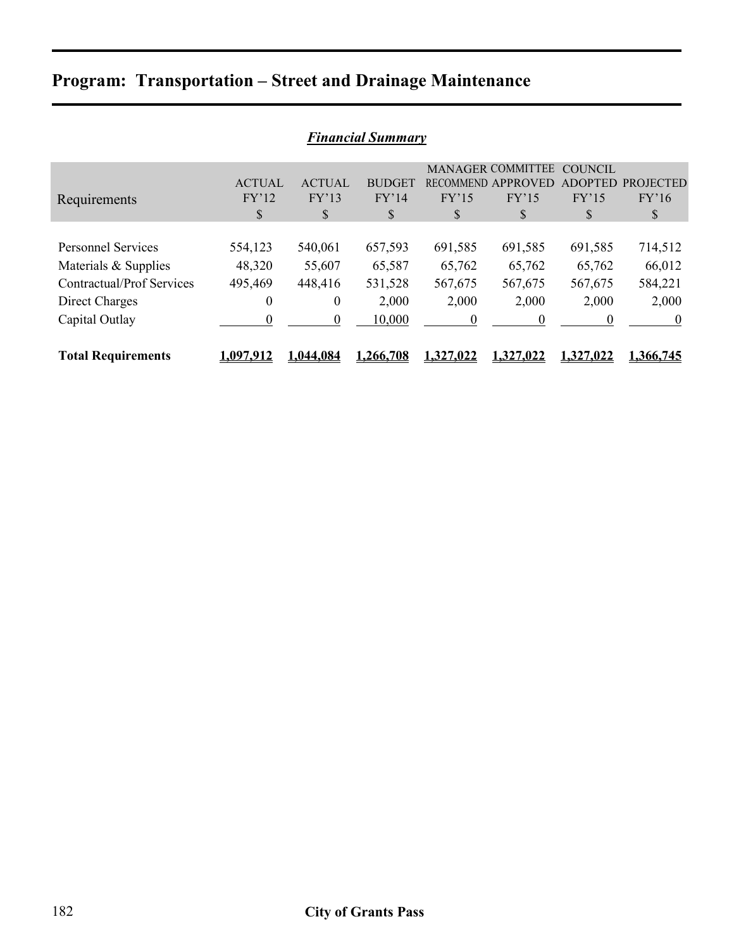| <b>Financial Summary</b>         |               |               |               |                  |                          |                |                  |  |  |  |
|----------------------------------|---------------|---------------|---------------|------------------|--------------------------|----------------|------------------|--|--|--|
|                                  |               |               |               |                  | <b>MANAGER COMMITTEE</b> | <b>COUNCIL</b> |                  |  |  |  |
|                                  | <b>ACTUAL</b> | <b>ACTUAL</b> | <b>BUDGET</b> | RECOMMEND.       | APPROVED                 | <b>ADOPTED</b> | <b>PROJECTED</b> |  |  |  |
| Requirements                     | FY'12         | FY'13         | FY'14         | FY'15            | FY'15                    | FY'15          | FY'16            |  |  |  |
|                                  | \$            | S             | <sup>S</sup>  | S                | \$                       | S              | $\mathbb{S}$     |  |  |  |
|                                  |               |               |               |                  |                          |                |                  |  |  |  |
| <b>Personnel Services</b>        | 554,123       | 540,061       | 657,593       | 691,585          | 691,585                  | 691,585        | 714,512          |  |  |  |
| Materials & Supplies             | 48,320        | 55,607        | 65,587        | 65,762           | 65,762                   | 65,762         | 66,012           |  |  |  |
| <b>Contractual/Prof Services</b> | 495,469       | 448,416       | 531,528       | 567,675          | 567,675                  | 567,675        | 584,221          |  |  |  |
| Direct Charges                   | $\theta$      | $\theta$      | 2,000         | 2,000            | 2,000                    | 2,000          | 2,000            |  |  |  |
| Capital Outlay                   | $\theta$      | $\theta$      | 10,000        | $\boldsymbol{0}$ | $\Omega$                 | $\Omega$       | $\boldsymbol{0}$ |  |  |  |
|                                  |               |               |               |                  |                          |                |                  |  |  |  |
| <b>Total Requirements</b>        | 1.097.912     | 044.084.ا     | 1.266.708     | 1.327,022        | 1.327.022                | 1.327.022      | 1.366.745        |  |  |  |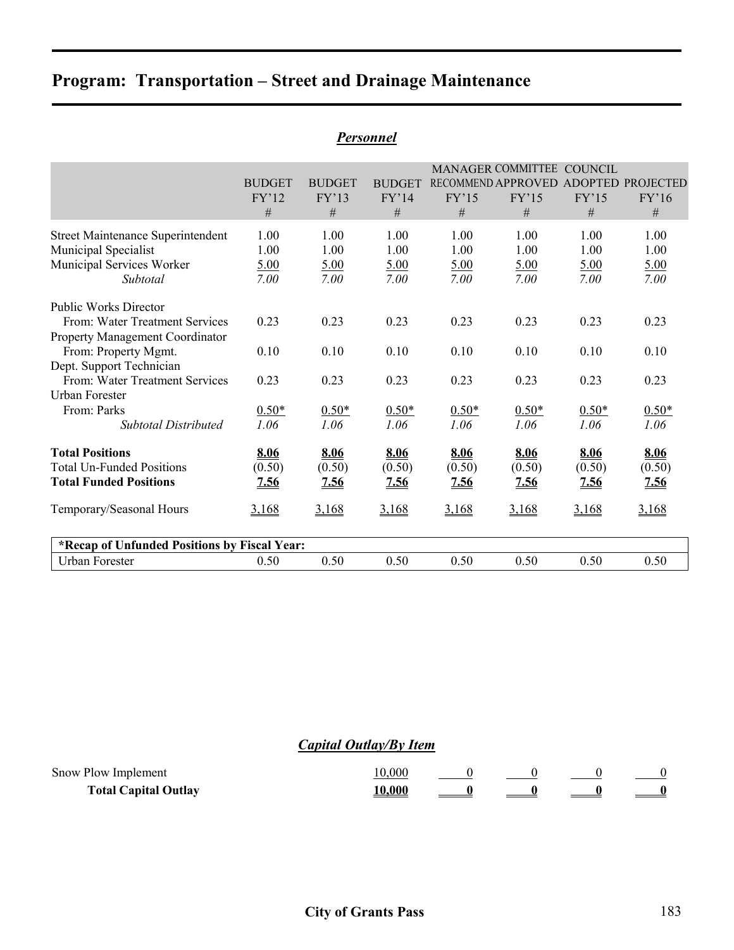|               |                                          |                                                                                 |                             |                                           | <b>COUNCIL</b>                                                                      |                                 |
|---------------|------------------------------------------|---------------------------------------------------------------------------------|-----------------------------|-------------------------------------------|-------------------------------------------------------------------------------------|---------------------------------|
| <b>BUDGET</b> | <b>BUDGET</b>                            | <b>BUDGET</b>                                                                   |                             |                                           |                                                                                     | ADOPTED PROJECTED               |
|               | FY'13                                    | FY'14                                                                           | FY'15                       | FY'15                                     | FY'15                                                                               | FY'16                           |
|               |                                          | #                                                                               |                             | #                                         |                                                                                     | #                               |
| 1.00          | 1.00                                     | 1.00                                                                            | 1.00                        | 1.00                                      | 1.00                                                                                | 1.00                            |
| 1.00          | 1.00                                     | 1.00                                                                            | 1.00                        | 1.00                                      | 1.00                                                                                | 1.00                            |
| 5.00          | 5.00                                     | 5.00                                                                            | 5.00                        | 5.00                                      | 5.00                                                                                | 5.00                            |
| 7.00          | 7.00                                     | 7.00                                                                            | 7.00                        | 7.00                                      | 7.00                                                                                | 7.00                            |
|               |                                          |                                                                                 |                             |                                           |                                                                                     |                                 |
| 0.23          | 0.23                                     | 0.23                                                                            | 0.23                        | 0.23                                      | 0.23                                                                                | 0.23                            |
|               |                                          |                                                                                 |                             |                                           |                                                                                     |                                 |
|               |                                          | 0.10                                                                            |                             |                                           |                                                                                     | 0.10                            |
|               |                                          |                                                                                 |                             |                                           |                                                                                     |                                 |
| 0.23          | 0.23                                     | 0.23                                                                            | 0.23                        | 0.23                                      | 0.23                                                                                | 0.23                            |
|               |                                          |                                                                                 |                             |                                           |                                                                                     |                                 |
|               |                                          |                                                                                 |                             |                                           |                                                                                     | $0.50*$                         |
|               |                                          |                                                                                 |                             |                                           |                                                                                     | 1.06                            |
| 8.06          | 8.06                                     | 8.06                                                                            | 8.06                        | 8.06                                      | 8.06                                                                                | 8.06                            |
| (0.50)        | (0.50)                                   | (0.50)                                                                          |                             |                                           | (0.50)                                                                              | (0.50)                          |
| 7.56          | <u>7.56</u>                              | <u>7.56</u>                                                                     | <u>7.56</u>                 | <u>7.56</u>                               | 7.56                                                                                | 7.56                            |
| 3,168         | 3,168                                    | 3,168                                                                           | 3,168                       | 3,168                                     | 3,168                                                                               | 3,168                           |
|               |                                          |                                                                                 |                             |                                           |                                                                                     |                                 |
| 0.50          | 0.50                                     | 0.50                                                                            | 0.50                        | 0.50                                      | 0.50                                                                                | 0.50                            |
|               | FY'12<br>$\#$<br>0.10<br>$0.50*$<br>1.06 | $\#$<br>0.10<br>$0.50*$<br>1.06<br>*Recap of Unfunded Positions by Fiscal Year: | $\cdots$<br>$0.50*$<br>1.06 | $\#$<br>0.10<br>$0.50*$<br>1.06<br>(0.50) | <b>MANAGER COMMITTEE</b><br>RECOMMEND APPROVED<br>0.10<br>$0.50*$<br>1.06<br>(0.50) | $\#$<br>0.10<br>$0.50*$<br>1.06 |

### *Personnel*

## *Capital Outlay/By Item*

| Snow Plow Implement         |  |  |  |
|-----------------------------|--|--|--|
| <b>Total Capital Outlay</b> |  |  |  |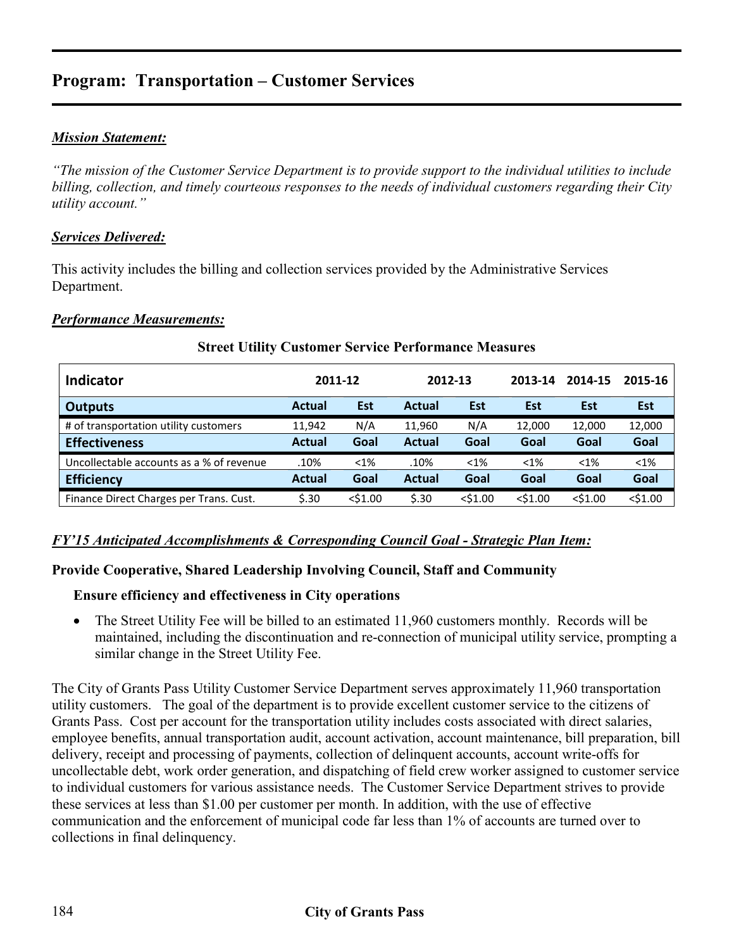# **Program: Transportation – Customer Services**

### *Mission Statement:*

*"The mission of the Customer Service Department is to provide support to the individual utilities to include billing, collection, and timely courteous responses to the needs of individual customers regarding their City utility account."* 

### *Services Delivered:*

This activity includes the billing and collection services provided by the Administrative Services Department.

#### *Performance Measurements:*

| <b>Indicator</b>                         | 2011-12 |            | 2012-13       |            | 2013-14    | 2014-15    | 2015-16    |
|------------------------------------------|---------|------------|---------------|------------|------------|------------|------------|
| <b>Outputs</b>                           | Actual  | Est        | Actual        | Est        | Est        | Est        | <b>Est</b> |
| # of transportation utility customers    | 11,942  | N/A        | 11.960        | N/A        | 12,000     | 12,000     | 12,000     |
| <b>Effectiveness</b>                     | Actual  | Goal       | <b>Actual</b> | Goal       | Goal       | Goal       | Goal       |
| Uncollectable accounts as a % of revenue | .10%    | $< 1\%$    | .10%          | $< 1\%$    | $< 1\%$    | $< 1\%$    | $< 1\%$    |
| <b>Efficiency</b>                        | Actual  | Goal       | <b>Actual</b> | Goal       | Goal       | Goal       | Goal       |
| Finance Direct Charges per Trans. Cust.  | 5.30    | $<$ \$1.00 | 5.30          | $<$ \$1.00 | $<$ \$1.00 | $<$ \$1.00 | $<$ \$1.00 |

#### **Street Utility Customer Service Performance Measures**

#### *FY'15 Anticipated Accomplishments & Corresponding Council Goal - Strategic Plan Item:*

#### **Provide Cooperative, Shared Leadership Involving Council, Staff and Community**

### **Ensure efficiency and effectiveness in City operations**

• The Street Utility Fee will be billed to an estimated 11,960 customers monthly. Records will be maintained, including the discontinuation and re-connection of municipal utility service, prompting a similar change in the Street Utility Fee.

The City of Grants Pass Utility Customer Service Department serves approximately 11,960 transportation utility customers. The goal of the department is to provide excellent customer service to the citizens of Grants Pass. Cost per account for the transportation utility includes costs associated with direct salaries, employee benefits, annual transportation audit, account activation, account maintenance, bill preparation, bill delivery, receipt and processing of payments, collection of delinquent accounts, account write-offs for uncollectable debt, work order generation, and dispatching of field crew worker assigned to customer service to individual customers for various assistance needs. The Customer Service Department strives to provide these services at less than \$1.00 per customer per month. In addition, with the use of effective communication and the enforcement of municipal code far less than 1% of accounts are turned over to collections in final delinquency.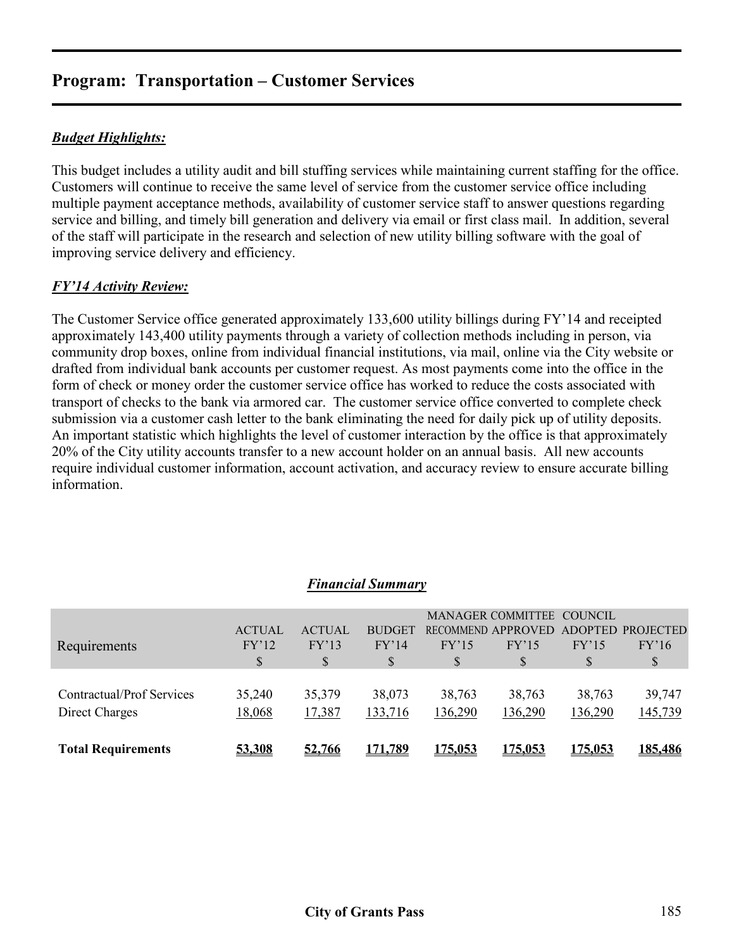# **Program: Transportation – Customer Services**

## *Budget Highlights:*

This budget includes a utility audit and bill stuffing services while maintaining current staffing for the office. Customers will continue to receive the same level of service from the customer service office including multiple payment acceptance methods, availability of customer service staff to answer questions regarding service and billing, and timely bill generation and delivery via email or first class mail. In addition, several of the staff will participate in the research and selection of new utility billing software with the goal of improving service delivery and efficiency.

### *FY'14 Activity Review:*

The Customer Service office generated approximately 133,600 utility billings during FY'14 and receipted approximately 143,400 utility payments through a variety of collection methods including in person, via community drop boxes, online from individual financial institutions, via mail, online via the City website or drafted from individual bank accounts per customer request. As most payments come into the office in the form of check or money order the customer service office has worked to reduce the costs associated with transport of checks to the bank via armored car. The customer service office converted to complete check submission via a customer cash letter to the bank eliminating the need for daily pick up of utility deposits. An important statistic which highlights the level of customer interaction by the office is that approximately 20% of the City utility accounts transfer to a new account holder on an annual basis. All new accounts require individual customer information, account activation, and accuracy review to ensure accurate billing information.

| <b>MANAGER COMMITTEE</b><br>COUNCIL<br><b>ACTUAL</b><br>RECOMMEND APPROVED<br><b>ACTUAL</b><br><b>BUDGET</b><br>ADOPTED PROJECTED<br>FY'12<br>FY'13<br>FY'14<br>FY'15<br>FY'16<br>FY'15<br>FY'15<br>Requirements<br><sup>S</sup><br>S<br>\$<br>S<br>\$<br>S<br>35,379<br>Contractual/Prof Services<br>35,240<br>38,073<br>38,763<br>38,763<br>38,763<br>39,747 | Direct Charges<br><b>Total Requirements</b> | 18,068<br>53,308 | 17,387<br>52,766 | 133,716<br><u>171,789</u> | 136,290<br><u>175,053</u> | 136,290<br><u>175,053</u> | 136,290<br><u>175,053</u> | 145,739<br>185,486 |
|----------------------------------------------------------------------------------------------------------------------------------------------------------------------------------------------------------------------------------------------------------------------------------------------------------------------------------------------------------------|---------------------------------------------|------------------|------------------|---------------------------|---------------------------|---------------------------|---------------------------|--------------------|
|                                                                                                                                                                                                                                                                                                                                                                |                                             |                  |                  |                           |                           |                           |                           |                    |
|                                                                                                                                                                                                                                                                                                                                                                |                                             |                  |                  |                           |                           |                           |                           |                    |
|                                                                                                                                                                                                                                                                                                                                                                |                                             |                  |                  |                           |                           |                           |                           |                    |

#### *Financial Summary*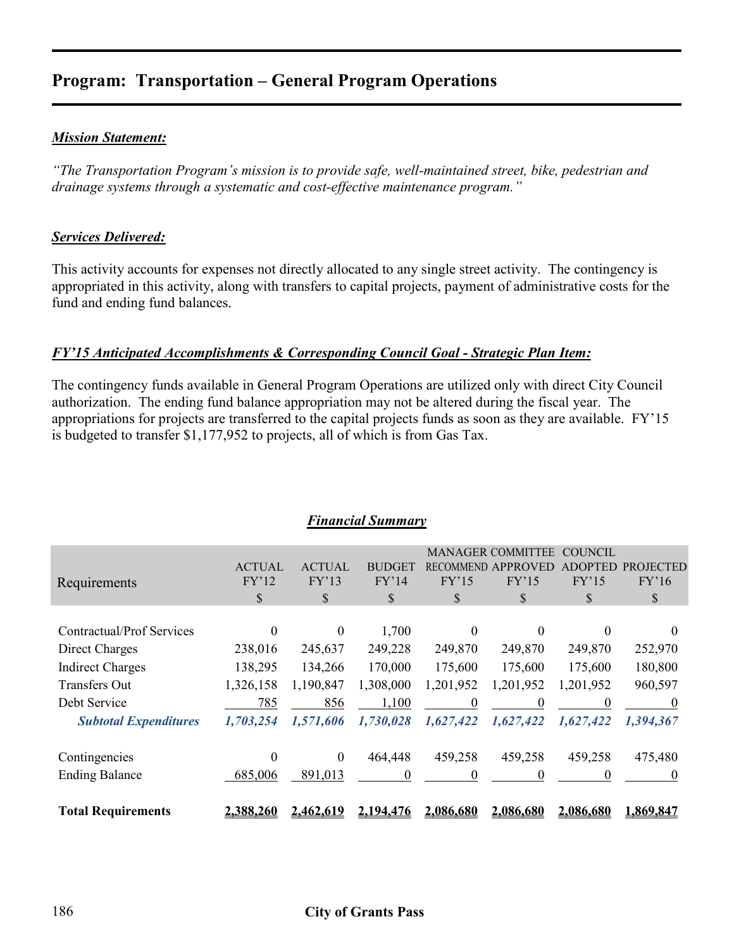# **Program: Transportation – General Program Operations**

### *Mission Statement:*

*"The Transportation Program's mission is to provide safe, well-maintained street, bike, pedestrian and drainage systems through a systematic and cost-effective maintenance program."* 

### *Services Delivered:*

This activity accounts for expenses not directly allocated to any single street activity. The contingency is appropriated in this activity, along with transfers to capital projects, payment of administrative costs for the fund and ending fund balances.

### *FY'15 Anticipated Accomplishments & Corresponding Council Goal - Strategic Plan Item:*

The contingency funds available in General Program Operations are utilized only with direct City Council authorization. The ending fund balance appropriation may not be altered during the fiscal year. The appropriations for projects are transferred to the capital projects funds as soon as they are available. FY'15 is budgeted to transfer \$1,177,952 to projects, all of which is from Gas Tax.

|                              |               |               |               |           | <b>MANAGER COMMITTEE</b> | <b>COUNCIL</b> |           |
|------------------------------|---------------|---------------|---------------|-----------|--------------------------|----------------|-----------|
|                              | <b>ACTUAL</b> | <b>ACTUAL</b> | <b>BUDGET</b> | RECOMM    |                          |                |           |
| Requirements                 | FY'12         | FY'13         | FY'14         | FY'15     | FY'15                    | FY'15          | FY'16     |
|                              | \$            | S             | \$            | \$        | \$                       | S              | S         |
|                              |               |               |               |           |                          |                |           |
| Contractual/Prof Services    | $\theta$      | $\theta$      | 1,700         | $\theta$  | $\Omega$                 | $\Omega$       | $\theta$  |
| Direct Charges               | 238,016       | 245,637       | 249,228       | 249,870   | 249,870                  | 249,870        | 252,970   |
| <b>Indirect Charges</b>      | 138,295       | 134,266       | 170,000       | 175,600   | 175,600                  | 175,600        | 180,800   |
| <b>Transfers Out</b>         | 1,326,158     | 1,190,847     | 1,308,000     | 1,201,952 | 1,201,952                | 1,201,952      | 960,597   |
| Debt Service                 | 785           | 856           | 1,100         | $\Omega$  |                          | $\theta$       | $\theta$  |
| <b>Subtotal Expenditures</b> | 1,703,254     | 1,571,606     | 1,730,028     | 1,627,422 | 1,627,422                | 1,627,422      | 1,394,367 |
| Contingencies                | 0             | $\theta$      | 464,448       | 459,258   | 459,258                  | 459,258        | 475,480   |
| <b>Ending Balance</b>        | 685,006       | 891,013       | $\theta$      | 0         | 0                        | 0              | $\theta$  |
| <b>Total Requirements</b>    | 2,388,260     | 2,462,619     | 2,194,476     | 2,086,680 | 2,086,680                | 2,086,680      | 1,869,847 |

#### *Financial Summary*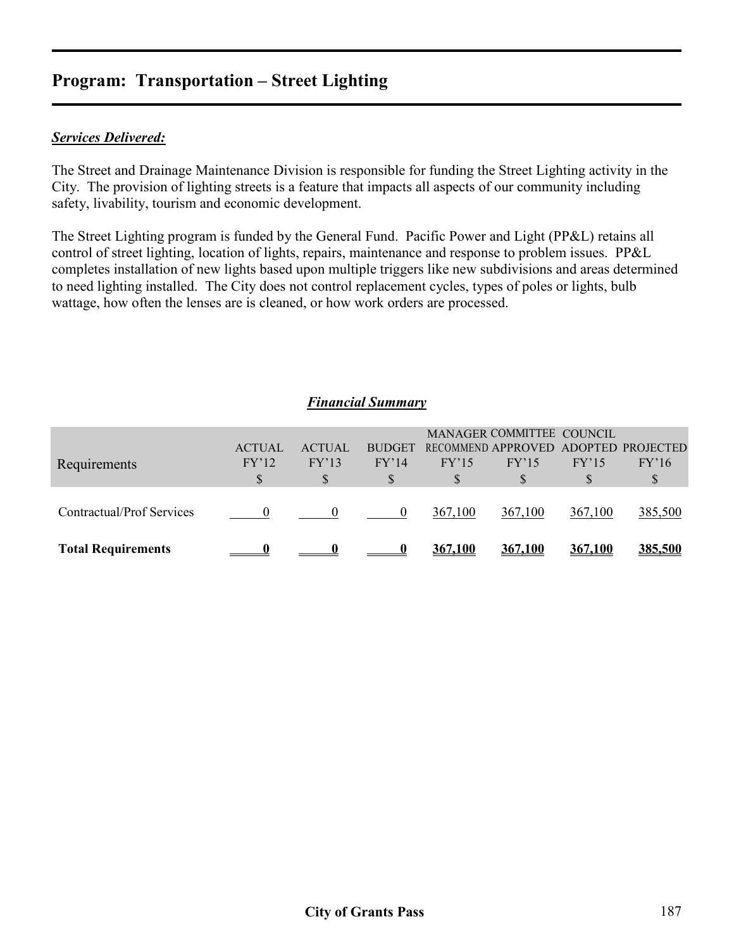# **Program: Transportation – Street Lighting**

### *Services Delivered:*

The Street and Drainage Maintenance Division is responsible for funding the Street Lighting activity in the City. The provision of lighting streets is a feature that impacts all aspects of our community including safety, livability, tourism and economic development.

The Street Lighting program is funded by the General Fund. Pacific Power and Light (PP&L) retains all control of street lighting, location of lights, repairs, maintenance and response to problem issues. PP&L completes installation of new lights based upon multiple triggers like new subdivisions and areas determined to need lighting installed. The City does not control replacement cycles, types of poles or lights, bulb wattage, how often the lenses are is cleaned, or how work orders are processed.

### *Financial Summary*

| Requirements              | <b>ACTUAL</b><br>FY'12 | <b>ACTUAL</b><br>FY'13 | <b>BUDGET</b><br>FY'14 | FY'15   | MANAGER COMMITTEE COUNCIL<br>RECOMMEND APPROVED ADOPTED PROJECTED<br>FY'15 | FY'15          | FY'16   |
|---------------------------|------------------------|------------------------|------------------------|---------|----------------------------------------------------------------------------|----------------|---------|
|                           | S                      |                        |                        |         |                                                                            |                |         |
| Contractual/Prof Services |                        |                        |                        | 367,100 | 367,100                                                                    | 367,100        | 385,500 |
| <b>Total Requirements</b> |                        |                        |                        | 367,100 | 367,100                                                                    | <u>367,100</u> | 385,500 |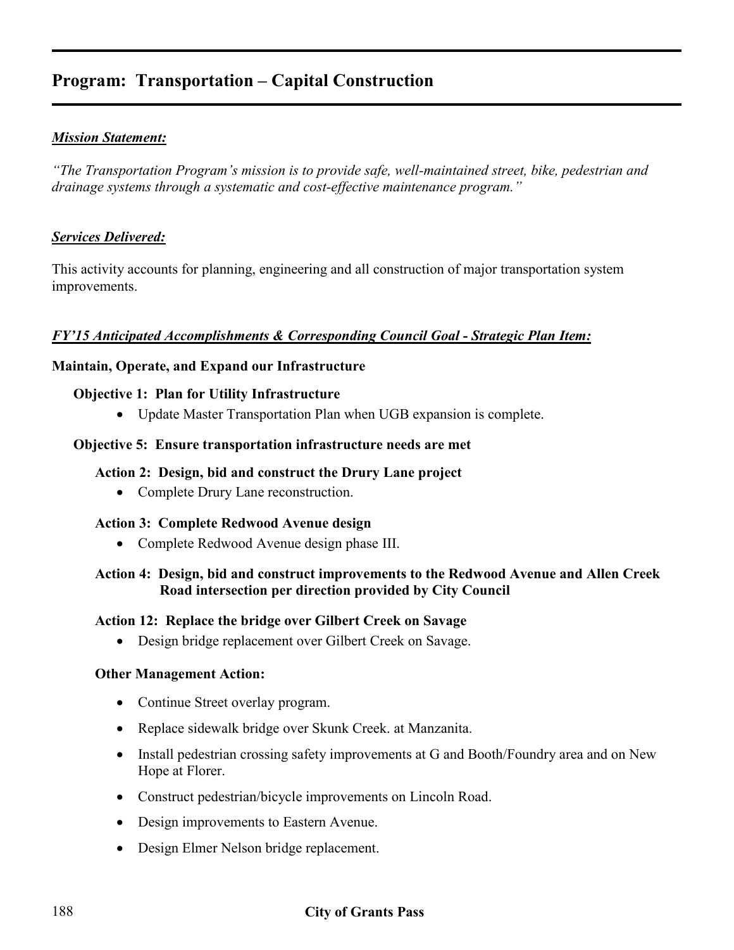### *Mission Statement:*

*"The Transportation Program's mission is to provide safe, well-maintained street, bike, pedestrian and drainage systems through a systematic and cost-effective maintenance program."* 

### *Services Delivered:*

This activity accounts for planning, engineering and all construction of major transportation system improvements.

### *FY'15 Anticipated Accomplishments & Corresponding Council Goal - Strategic Plan Item:*

#### **Maintain, Operate, and Expand our Infrastructure**

#### **Objective 1: Plan for Utility Infrastructure**

• Update Master Transportation Plan when UGB expansion is complete.

#### **Objective 5: Ensure transportation infrastructure needs are met**

#### **Action 2: Design, bid and construct the Drury Lane project**

• Complete Drury Lane reconstruction.

#### **Action 3: Complete Redwood Avenue design**

• Complete Redwood Avenue design phase III.

### **Action 4: Design, bid and construct improvements to the Redwood Avenue and Allen Creek Road intersection per direction provided by City Council**

#### **Action 12: Replace the bridge over Gilbert Creek on Savage**

• Design bridge replacement over Gilbert Creek on Savage.

#### **Other Management Action:**

- Continue Street overlay program.
- Replace sidewalk bridge over Skunk Creek. at Manzanita.
- Install pedestrian crossing safety improvements at G and Booth/Foundry area and on New Hope at Florer.
- Construct pedestrian/bicycle improvements on Lincoln Road.
- Design improvements to Eastern Avenue.
- Design Elmer Nelson bridge replacement.

### 188 **City of Grants Pass**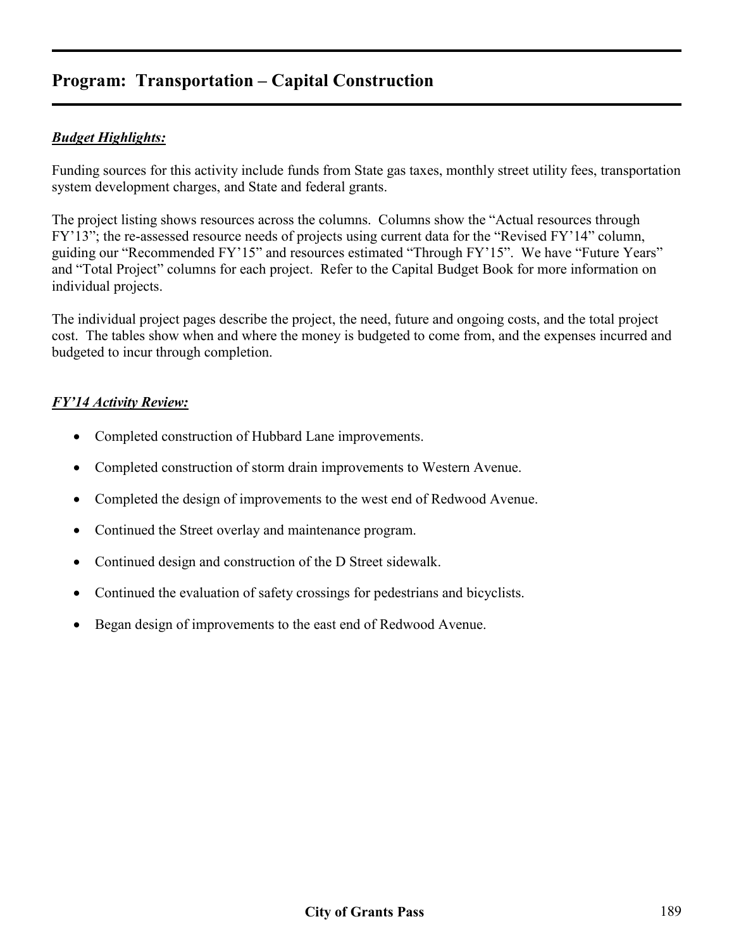## *Budget Highlights:*

Funding sources for this activity include funds from State gas taxes, monthly street utility fees, transportation system development charges, and State and federal grants.

The project listing shows resources across the columns. Columns show the "Actual resources through FY'13"; the re-assessed resource needs of projects using current data for the "Revised FY'14" column, guiding our "Recommended FY'15" and resources estimated "Through FY'15". We have "Future Years" and "Total Project" columns for each project. Refer to the Capital Budget Book for more information on individual projects.

The individual project pages describe the project, the need, future and ongoing costs, and the total project cost. The tables show when and where the money is budgeted to come from, and the expenses incurred and budgeted to incur through completion.

### *FY'14 Activity Review:*

- Completed construction of Hubbard Lane improvements.
- Completed construction of storm drain improvements to Western Avenue.
- Completed the design of improvements to the west end of Redwood Avenue.
- Continued the Street overlay and maintenance program.
- Continued design and construction of the D Street sidewalk.
- Continued the evaluation of safety crossings for pedestrians and bicyclists.
- Began design of improvements to the east end of Redwood Avenue.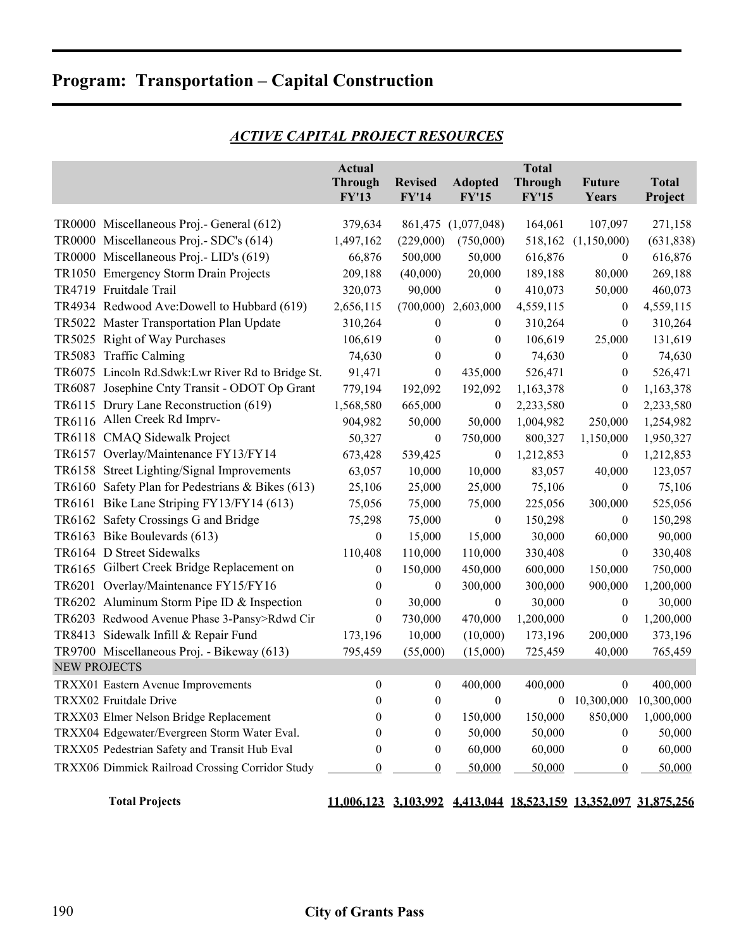|                     |                                                   | <b>Actual</b><br><b>Through</b><br><b>FY'13</b> | <b>Revised</b><br><b>FY'14</b> | <b>Adopted</b><br><b>FY'15</b> | <b>Total</b><br><b>Through</b><br><b>FY'15</b> | <b>Future</b><br>Years                     | <b>Total</b><br>Project |
|---------------------|---------------------------------------------------|-------------------------------------------------|--------------------------------|--------------------------------|------------------------------------------------|--------------------------------------------|-------------------------|
|                     | TR0000 Miscellaneous Proj.- General (612)         | 379,634                                         |                                | 861,475 (1,077,048)            | 164,061                                        | 107,097                                    | 271,158                 |
|                     | TR0000 Miscellaneous Proj.- SDC's (614)           | 1,497,162                                       | (229,000)                      | (750,000)                      | 518,162                                        | (1,150,000)                                | (631, 838)              |
|                     | TR0000 Miscellaneous Proj.- LID's (619)           | 66,876                                          | 500,000                        | 50,000                         | 616,876                                        | $\boldsymbol{0}$                           | 616,876                 |
|                     | TR1050 Emergency Storm Drain Projects             | 209,188                                         | (40,000)                       | 20,000                         | 189,188                                        | 80,000                                     | 269,188                 |
|                     | TR4719 Fruitdale Trail                            | 320,073                                         | 90,000                         | $\boldsymbol{0}$               | 410,073                                        | 50,000                                     | 460,073                 |
|                     | TR4934 Redwood Ave:Dowell to Hubbard (619)        | 2,656,115                                       | (700,000)                      | 2,603,000                      | 4,559,115                                      | $\boldsymbol{0}$                           | 4,559,115               |
|                     | TR5022 Master Transportation Plan Update          | 310,264                                         | $\bf{0}$                       | $\boldsymbol{0}$               | 310,264                                        | $\boldsymbol{0}$                           | 310,264                 |
|                     | TR5025 Right of Way Purchases                     | 106,619                                         | $\mathbf{0}$                   | $\theta$                       | 106,619                                        | 25,000                                     | 131,619                 |
|                     | TR5083 Traffic Calming                            | 74,630                                          | $\mathbf{0}$                   | $\theta$                       | 74,630                                         | $\boldsymbol{0}$                           | 74,630                  |
|                     | TR6075 Lincoln Rd.Sdwk:Lwr River Rd to Bridge St. | 91,471                                          | $\boldsymbol{0}$               | 435,000                        | 526,471                                        | $\boldsymbol{0}$                           | 526,471                 |
|                     | TR6087 Josephine Cnty Transit - ODOT Op Grant     | 779,194                                         | 192,092                        | 192,092                        | 1,163,378                                      | $\boldsymbol{0}$                           | 1,163,378               |
|                     | TR6115 Drury Lane Reconstruction (619)            | 1,568,580                                       | 665,000                        | $\boldsymbol{0}$               | 2,233,580                                      | $\boldsymbol{0}$                           | 2,233,580               |
|                     | TR6116 Allen Creek Rd Imprv-                      | 904,982                                         | 50,000                         | 50,000                         | 1,004,982                                      | 250,000                                    | 1,254,982               |
|                     | TR6118 CMAQ Sidewalk Project                      | 50,327                                          | $\boldsymbol{0}$               | 750,000                        | 800,327                                        | 1,150,000                                  | 1,950,327               |
|                     | TR6157 Overlay/Maintenance FY13/FY14              | 673,428                                         | 539,425                        | $\mathbf{0}$                   | 1,212,853                                      | $\boldsymbol{0}$                           | 1,212,853               |
|                     | TR6158 Street Lighting/Signal Improvements        | 63,057                                          | 10,000                         | 10,000                         | 83,057                                         | 40,000                                     | 123,057                 |
|                     | TR6160 Safety Plan for Pedestrians & Bikes (613)  | 25,106                                          | 25,000                         | 25,000                         | 75,106                                         | $\boldsymbol{0}$                           | 75,106                  |
|                     | TR6161 Bike Lane Striping FY13/FY14 (613)         | 75,056                                          | 75,000                         | 75,000                         | 225,056                                        | 300,000                                    | 525,056                 |
|                     | TR6162 Safety Crossings G and Bridge              | 75,298                                          | 75,000                         | $\boldsymbol{0}$               | 150,298                                        | $\boldsymbol{0}$                           | 150,298                 |
|                     | TR6163 Bike Boulevards (613)                      | $\boldsymbol{0}$                                | 15,000                         | 15,000                         | 30,000                                         | 60,000                                     | 90,000                  |
|                     | TR6164 D Street Sidewalks                         | 110,408                                         | 110,000                        | 110,000                        | 330,408                                        | $\boldsymbol{0}$                           | 330,408                 |
|                     | TR6165 Gilbert Creek Bridge Replacement on        | $\theta$                                        | 150,000                        | 450,000                        | 600,000                                        | 150,000                                    | 750,000                 |
|                     | TR6201 Overlay/Maintenance FY15/FY16              | $\boldsymbol{0}$                                | $\boldsymbol{0}$               | 300,000                        | 300,000                                        | 900,000                                    | 1,200,000               |
|                     | TR6202 Aluminum Storm Pipe ID & Inspection        | $\boldsymbol{0}$                                | 30,000                         | $\boldsymbol{0}$               | 30,000                                         | $\boldsymbol{0}$                           | 30,000                  |
|                     | TR6203 Redwood Avenue Phase 3-Pansy>Rdwd Cir      | $\boldsymbol{0}$                                | 730,000                        | 470,000                        | 1,200,000                                      | $\boldsymbol{0}$                           | 1,200,000               |
|                     | TR8413 Sidewalk Infill & Repair Fund              | 173,196                                         | 10,000                         | (10,000)                       | 173,196                                        | 200,000                                    | 373,196                 |
|                     | TR9700 Miscellaneous Proj. - Bikeway (613)        | 795,459                                         | (55,000)                       | (15,000)                       | 725,459                                        | 40,000                                     | 765,459                 |
| <b>NEW PROJECTS</b> |                                                   |                                                 |                                |                                |                                                |                                            |                         |
|                     | TRXX01 Eastern Avenue Improvements                | $\boldsymbol{0}$                                | $\bf{0}$                       | 400,000                        | 400,000                                        | $\boldsymbol{0}$                           | 400,000                 |
|                     | TRXX02 Fruitdale Drive                            | $\boldsymbol{0}$                                | $\boldsymbol{0}$               | $\boldsymbol{0}$               | $\boldsymbol{0}$                               | 10,300,000                                 | 10,300,000              |
|                     | TRXX03 Elmer Nelson Bridge Replacement            | 0                                               | $\boldsymbol{0}$               | 150,000                        | 150,000                                        | 850,000                                    | 1,000,000               |
|                     | TRXX04 Edgewater/Evergreen Storm Water Eval.      | 0                                               | $\boldsymbol{0}$               | 50,000                         | 50,000                                         | $\boldsymbol{0}$                           | 50,000                  |
|                     | TRXX05 Pedestrian Safety and Transit Hub Eval     | $\overline{0}$                                  | $\bf{0}$                       | 60,000                         | 60,000                                         | $\boldsymbol{0}$                           | 60,000                  |
|                     | TRXX06 Dimmick Railroad Crossing Corridor Study   | $\boldsymbol{0}$                                | $\bf{0}$                       | 50,000                         | 50,000                                         | $\boldsymbol{0}$                           | 50,000                  |
|                     | <b>Total Projects</b>                             | 11,006,123 3,103,992                            |                                |                                |                                                | 4,413,044 18,523,159 13,352,097 31,875,256 |                         |

# *ACTIVE CAPITAL PROJECT RESOURCES*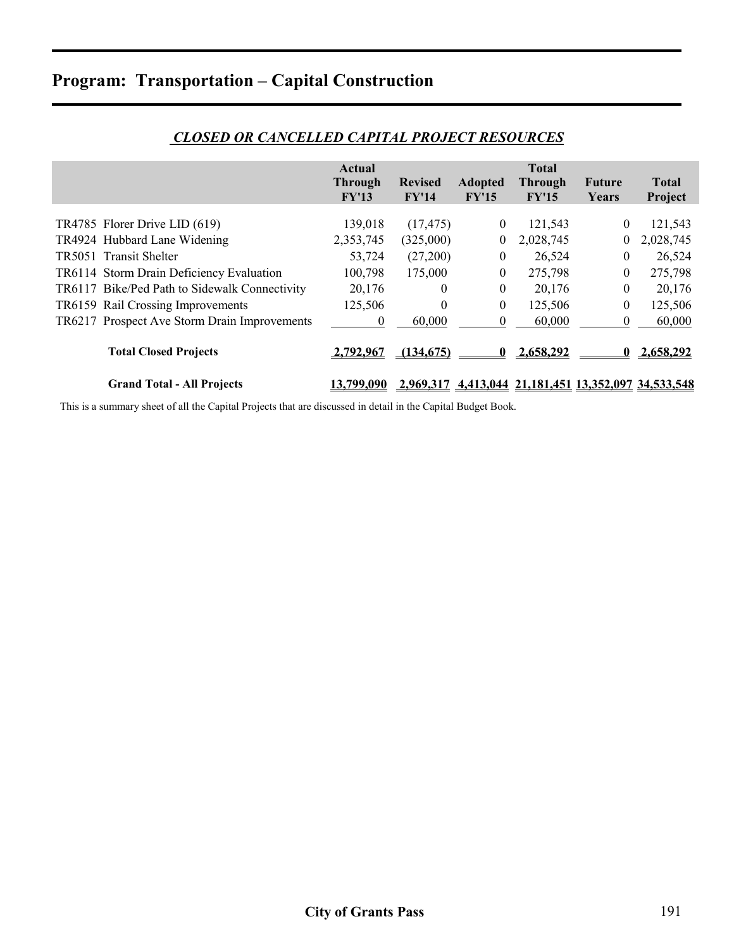|                                               | Actual           |                |                  | <b>Total</b>                                         |                  |              |
|-----------------------------------------------|------------------|----------------|------------------|------------------------------------------------------|------------------|--------------|
|                                               | <b>Through</b>   | <b>Revised</b> | <b>Adopted</b>   | <b>Through</b>                                       | Future           | <b>Total</b> |
|                                               | FY'13            | FY'14          | FY'15            | FY'15                                                | Years            | Project      |
|                                               |                  |                |                  |                                                      |                  |              |
| TR4785 Florer Drive LID (619)                 | 139,018          | (17, 475)      | $\overline{0}$   | 121,543                                              | $\theta$         | 121,543      |
| TR4924 Hubbard Lane Widening                  | 2,353,745        | (325,000)      | 0                | 2,028,745                                            | $\theta$         | 2,028,745    |
| TR5051 Transit Shelter                        | 53,724           | (27,200)       | $\overline{0}$   | 26,524                                               | $\theta$         | 26,524       |
| TR6114 Storm Drain Deficiency Evaluation      | 100,798          | 175,000        | 0                | 275,798                                              | $\boldsymbol{0}$ | 275,798      |
| TR6117 Bike/Ped Path to Sidewalk Connectivity | 20,176           | $\theta$       | $\boldsymbol{0}$ | 20,176                                               | $\theta$         | 20,176       |
| TR6159 Rail Crossing Improvements             | 125,506          | $\theta$       | $\boldsymbol{0}$ | 125,506                                              | $\theta$         | 125,506      |
| TR6217 Prospect Ave Storm Drain Improvements  | $\theta$         | 60,000         | 0                | 60,000                                               | $\theta$         | 60,000       |
|                                               |                  |                |                  |                                                      |                  |              |
| <b>Total Closed Projects</b>                  | <u>2.792.967</u> | (134.675)      |                  | <u>2.658.292</u>                                     |                  | 2.658.292    |
|                                               |                  |                |                  |                                                      |                  |              |
| <b>Grand Total - All Projects</b>             | 3.799,090        |                |                  | 2,969,317 4,413,044 21,181,451 13,352,097 34,533,548 |                  |              |

### *CLOSED OR CANCELLED CAPITAL PROJECT RESOURCES*

This is a summary sheet of all the Capital Projects that are discussed in detail in the Capital Budget Book.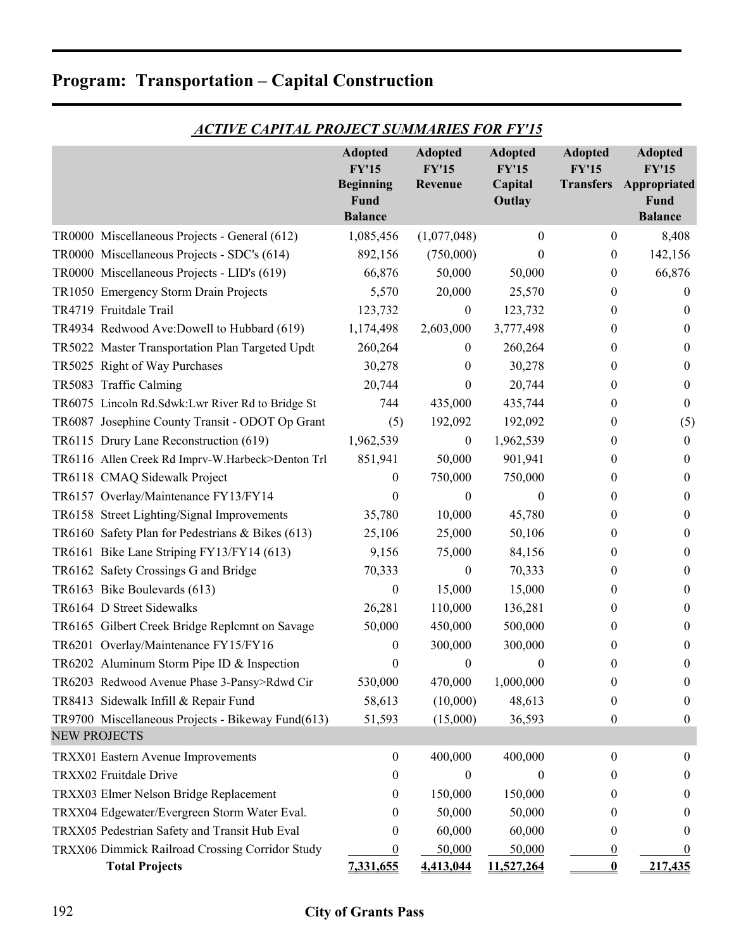|  | <b>Program: Transportation – Capital Construction</b> |  |  |
|--|-------------------------------------------------------|--|--|
|--|-------------------------------------------------------|--|--|

|                                                   | <b>Adopted</b><br><b>FY'15</b><br><b>Beginning</b><br>Fund<br><b>Balance</b> | <b>Adopted</b><br><b>FY'15</b><br>Revenue | <b>Adopted</b><br><b>FY'15</b><br>Capital<br>Outlay | <b>Adopted</b><br><b>FY'15</b><br><b>Transfers</b> | <b>Adopted</b><br><b>FY'15</b><br>Appropriated<br>Fund<br><b>Balance</b> |
|---------------------------------------------------|------------------------------------------------------------------------------|-------------------------------------------|-----------------------------------------------------|----------------------------------------------------|--------------------------------------------------------------------------|
| TR0000 Miscellaneous Projects - General (612)     | 1,085,456                                                                    | (1,077,048)                               | $\theta$                                            | 0                                                  | 8,408                                                                    |
| TR0000 Miscellaneous Projects - SDC's (614)       | 892,156                                                                      | (750,000)                                 | 0                                                   | $\boldsymbol{0}$                                   | 142,156                                                                  |
| TR0000 Miscellaneous Projects - LID's (619)       | 66,876                                                                       | 50,000                                    | 50,000                                              | $\boldsymbol{0}$                                   | 66,876                                                                   |
| TR1050 Emergency Storm Drain Projects             | 5,570                                                                        | 20,000                                    | 25,570                                              | $\boldsymbol{0}$                                   | $\theta$                                                                 |
| TR4719 Fruitdale Trail                            | 123,732                                                                      | $\boldsymbol{0}$                          | 123,732                                             | 0                                                  | $\theta$                                                                 |
| TR4934 Redwood Ave:Dowell to Hubbard (619)        | 1,174,498                                                                    | 2,603,000                                 | 3,777,498                                           | $\overline{0}$                                     | $\theta$                                                                 |
| TR5022 Master Transportation Plan Targeted Updt   | 260,264                                                                      | $\bf{0}$                                  | 260,264                                             | $\overline{0}$                                     | $\theta$                                                                 |
| TR5025 Right of Way Purchases                     | 30,278                                                                       | 0                                         | 30,278                                              | 0                                                  | $\theta$                                                                 |
| TR5083 Traffic Calming                            | 20,744                                                                       | $\boldsymbol{0}$                          | 20,744                                              | 0                                                  | $\boldsymbol{0}$                                                         |
| TR6075 Lincoln Rd.Sdwk:Lwr River Rd to Bridge St  | 744                                                                          | 435,000                                   | 435,744                                             | 0                                                  | $\boldsymbol{0}$                                                         |
| TR6087 Josephine County Transit - ODOT Op Grant   | (5)                                                                          | 192,092                                   | 192,092                                             | 0                                                  | (5)                                                                      |
| TR6115 Drury Lane Reconstruction (619)            | 1,962,539                                                                    | $\boldsymbol{0}$                          | 1,962,539                                           | $\overline{0}$                                     | $\boldsymbol{0}$                                                         |
| TR6116 Allen Creek Rd Imprv-W.Harbeck>Denton Trl  | 851,941                                                                      | 50,000                                    | 901,941                                             | 0                                                  | $\bf{0}$                                                                 |
| TR6118 CMAQ Sidewalk Project                      | 0                                                                            | 750,000                                   | 750,000                                             | $\overline{0}$                                     | $\mathbf{0}$                                                             |
| TR6157 Overlay/Maintenance FY13/FY14              | 0                                                                            | 0                                         | $\theta$                                            | 0                                                  | $\bf{0}$                                                                 |
| TR6158 Street Lighting/Signal Improvements        | 35,780                                                                       | 10,000                                    | 45,780                                              | 0                                                  | $\boldsymbol{0}$                                                         |
| TR6160 Safety Plan for Pedestrians & Bikes (613)  | 25,106                                                                       | 25,000                                    | 50,106                                              | 0                                                  | $\bf{0}$                                                                 |
| TR6161 Bike Lane Striping FY13/FY14 (613)         | 9,156                                                                        | 75,000                                    | 84,156                                              | 0                                                  | 0                                                                        |
| TR6162 Safety Crossings G and Bridge              | 70,333                                                                       | $\boldsymbol{0}$                          | 70,333                                              | $\overline{0}$                                     | $\boldsymbol{0}$                                                         |
| TR6163 Bike Boulevards (613)                      | $\boldsymbol{0}$                                                             | 15,000                                    | 15,000                                              | 0                                                  | $\theta$                                                                 |
| TR6164 D Street Sidewalks                         | 26,281                                                                       | 110,000                                   | 136,281                                             | 0                                                  | $\bf{0}$                                                                 |
| TR6165 Gilbert Creek Bridge Replcmnt on Savage    | 50,000                                                                       | 450,000                                   | 500,000                                             | 0                                                  | $\boldsymbol{0}$                                                         |
| TR6201 Overlay/Maintenance FY15/FY16              | 0                                                                            | 300,000                                   | 300,000                                             | 0                                                  | $\boldsymbol{0}$                                                         |
| TR6202 Aluminum Storm Pipe ID & Inspection        | 0                                                                            | $\boldsymbol{0}$                          | $\boldsymbol{0}$                                    | 0                                                  | $\boldsymbol{0}$                                                         |
| TR6203 Redwood Avenue Phase 3-Pansy>Rdwd Cir      | 530,000                                                                      | 470,000                                   | 1,000,000                                           | $\bf{0}$                                           | $\bf{0}$                                                                 |
| TR8413 Sidewalk Infill & Repair Fund              | 58,613                                                                       | (10,000)                                  | 48,613                                              | 0                                                  | $\overline{0}$                                                           |
| TR9700 Miscellaneous Projects - Bikeway Fund(613) | 51,593                                                                       | (15,000)                                  | 36,593                                              | $\mathbf{0}$                                       | $\boldsymbol{0}$                                                         |
| <b>NEW PROJECTS</b>                               |                                                                              |                                           |                                                     |                                                    |                                                                          |
| TRXX01 Eastern Avenue Improvements                | $\boldsymbol{0}$                                                             | 400,000                                   | 400,000                                             | $\boldsymbol{0}$                                   | $\boldsymbol{0}$                                                         |
| TRXX02 Fruitdale Drive                            | $\theta$                                                                     | $\theta$                                  | $\theta$                                            | $\bf{0}$                                           | $\theta$                                                                 |
| TRXX03 Elmer Nelson Bridge Replacement            | $\bf{0}$                                                                     | 150,000                                   | 150,000                                             | 0                                                  | 0                                                                        |
| TRXX04 Edgewater/Evergreen Storm Water Eval.      | 0                                                                            | 50,000                                    | 50,000                                              | 0                                                  | $\theta$                                                                 |
| TRXX05 Pedestrian Safety and Transit Hub Eval     | 0                                                                            | 60,000                                    | 60,000                                              | 0                                                  | $\theta$                                                                 |
| TRXX06 Dimmick Railroad Crossing Corridor Study   | $\theta$                                                                     | 50,000                                    | 50,000                                              | $\overline{0}$                                     | $\bf{0}$                                                                 |
| <b>Total Projects</b>                             | 7,331,655                                                                    | 4,413,044                                 | 11,527,264                                          | $\boldsymbol{0}$                                   | 217,435                                                                  |

# *ACTIVE CAPITAL PROJECT SUMMARIES FOR FY'15*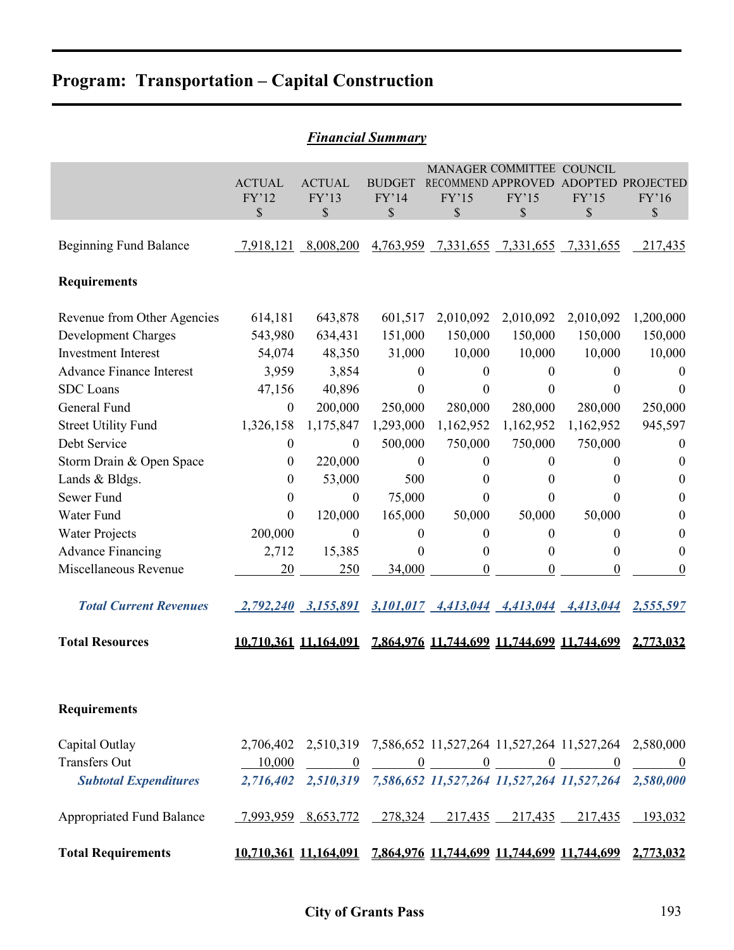| <b>Financial Summary</b>         |                        |                              |                        |                                            |                                    |                  |                                                                            |  |  |
|----------------------------------|------------------------|------------------------------|------------------------|--------------------------------------------|------------------------------------|------------------|----------------------------------------------------------------------------|--|--|
|                                  | <b>ACTUAL</b><br>FY'12 | <b>ACTUAL</b><br>FY'13       | <b>BUDGET</b><br>FY'14 | RECOMMEND APPROVED<br>FY'15                | MANAGER COMMITTEE COUNCIL<br>FY'15 | FY'15            | ADOPTED PROJECTED<br>FY'16                                                 |  |  |
|                                  | \$                     | \$                           | \$                     | \$                                         | \$                                 | \$               | \$                                                                         |  |  |
| <b>Beginning Fund Balance</b>    |                        | 7,918,121 8,008,200          |                        | 4,763,959 7,331,655 7,331,655 7,331,655    |                                    |                  | 217,435                                                                    |  |  |
| <b>Requirements</b>              |                        |                              |                        |                                            |                                    |                  |                                                                            |  |  |
| Revenue from Other Agencies      | 614,181                | 643,878                      | 601,517                | 2,010,092                                  | 2,010,092                          | 2,010,092        | 1,200,000                                                                  |  |  |
| <b>Development Charges</b>       | 543,980                | 634,431                      | 151,000                | 150,000                                    | 150,000                            | 150,000          | 150,000                                                                    |  |  |
| <b>Investment Interest</b>       | 54,074                 | 48,350                       | 31,000                 | 10,000                                     | 10,000                             | 10,000           | 10,000                                                                     |  |  |
| <b>Advance Finance Interest</b>  | 3,959                  | 3,854                        | $\boldsymbol{0}$       | $\mathbf{0}$                               | $\theta$                           | $\mathbf{0}$     | $\theta$                                                                   |  |  |
| <b>SDC</b> Loans                 | 47,156                 | 40,896                       | 0                      | 0                                          | $\theta$                           | $\theta$         | 0                                                                          |  |  |
| General Fund                     | $\boldsymbol{0}$       | 200,000                      | 250,000                | 280,000                                    | 280,000                            | 280,000          | 250,000                                                                    |  |  |
| <b>Street Utility Fund</b>       | 1,326,158              | 1,175,847                    | 1,293,000              | 1,162,952                                  | 1,162,952                          | 1,162,952        | 945,597                                                                    |  |  |
| Debt Service                     | $\boldsymbol{0}$       | $\boldsymbol{0}$             | 500,000                | 750,000                                    | 750,000                            | 750,000          | $\boldsymbol{0}$                                                           |  |  |
| Storm Drain & Open Space         | $\theta$               | 220,000                      | $\boldsymbol{0}$       | $\mathbf{0}$                               | $\mathbf{0}$                       | $\mathbf{0}$     | 0                                                                          |  |  |
| Lands & Bldgs.                   | $\theta$               | 53,000                       | 500                    | 0                                          | $\theta$                           | $\theta$         | $\theta$                                                                   |  |  |
| Sewer Fund                       | $\boldsymbol{0}$       | $\boldsymbol{0}$             | 75,000                 | $\theta$                                   | $\theta$                           | $\theta$         | $\theta$                                                                   |  |  |
| Water Fund                       | $\mathbf{0}$           | 120,000                      | 165,000                | 50,000                                     | 50,000                             | 50,000           | $\theta$                                                                   |  |  |
| <b>Water Projects</b>            | 200,000                | $\boldsymbol{0}$             | $\boldsymbol{0}$       | $\boldsymbol{0}$                           | $\boldsymbol{0}$                   | $\boldsymbol{0}$ | 0                                                                          |  |  |
| <b>Advance Financing</b>         | 2,712                  | 15,385                       | 0                      | $\theta$                                   | $\theta$                           | $\overline{0}$   | $\theta$                                                                   |  |  |
| Miscellaneous Revenue            | 20                     | 250                          | 34,000                 | $\Omega$                                   | $\theta$                           | $\theta$         | 0                                                                          |  |  |
| <b>Total Current Revenues</b>    |                        | 2,792,240 3,155,891          |                        | 3,101,017 4,413,044 4,413,044 4,413,044    |                                    |                  | 2,555,597                                                                  |  |  |
| <b>Total Resources</b>           | 10,710,361 11,164,091  |                              |                        | 7,864,976 11,744,699 11,744,699 11,744,699 |                                    |                  | 2,773,032                                                                  |  |  |
| <b>Requirements</b>              |                        |                              |                        |                                            |                                    |                  |                                                                            |  |  |
| Capital Outlay                   |                        |                              |                        |                                            |                                    |                  | 2,706,402 2,510,319 7,586,652 11,527,264 11,527,264 11,527,264 2,580,000   |  |  |
| <b>Transfers Out</b>             |                        |                              |                        |                                            |                                    |                  | $\frac{10,000}{0}$ 0 0 0 0 0 0 0 0                                         |  |  |
| <b>Subtotal Expenditures</b>     |                        |                              |                        |                                            |                                    |                  | 2,716,402 2,510,319 7,586,652 11,527,264 11,527,264 11,527,264 2,580,000   |  |  |
| <b>Appropriated Fund Balance</b> |                        | $-7,993,959$ $8,653,772$ $-$ |                        | $278,324$ $217,435$ $217,435$              |                                    | 217,435          | $-193,032$                                                                 |  |  |
| <b>Total Requirements</b>        |                        |                              |                        |                                            |                                    |                  | 10,710,361 11,164,091 7,864,976 11,744,699 11,744,699 11,744,699 2,773,032 |  |  |